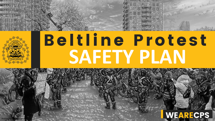

## Beltline Protest **SAFETY PLAN**



Privileged & Confidential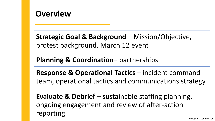

**Strategic Goal & Background – Mission/Objective,** protest background, March 12 event

**Planning & Coordination**– partnerships

**Response & Operational Tactics** – incident command team, operational tactics and communications strategy

**Evaluate & Debrief** – sustainable staffing planning, ongoing engagement and review of after-action reporting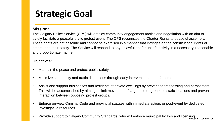#### **Strategic Goal**

#### **Mission:**

The Calgary Police Service (CPS) will employ community engagement tactics and negotiation with an aim to safely facilitate a peaceful static protest event. The CPS recognizes the Charter Rights to peaceful assembly. These rights are not absolute and cannot be exercised in a manner that infringes on the constitutional rights of others, and their safety. The Service will respond to any unlawful and/or unsafe activity in a necessary, reasonable and proportionate manner.

#### **Objectives:**

- Maintain the peace and protect public safety.
- Minimize community and traffic disruptions through early intervention and enforcement.
- Assist and support businesses and residents of private dwellings by preventing trespassing and harassment. This will be accomplished by aiming to limit movement of large protest groups to static locations and prevent interaction between opposing protest groups.
- Enforce on-view Criminal Code and provincial statutes with immediate action, or post-event by dedicated investigative resources.
- Privileged & Confidential • Provide support to Calgary Community Standards, who will enforce municipal bylaws and licensing.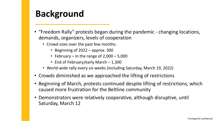#### **Background**

- "Freedom Rally" protests began during the pandemic changing locations, demands, organizers, levels of cooperation
	- Crowd sizes over the past few months:
		- Beginning of 2022 approx. 300
		- February in the range of  $2,000 5,000$
		- End of February/early March 1,300
	- World-wide rally every six weeks (including Saturday, March 19, 2022)
- Crowds diminished as we approached the lifting of restrictions
- Beginning of March, protests continued despite lifting of restrictions, which caused more frustration for the Beltline community
- Demonstrators were relatively cooperative, although disruptive, until Saturday, March 12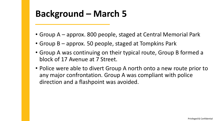#### **Background – March 5**

- Group A approx. 800 people, staged at Central Memorial Park
- Group B approx. 50 people, staged at Tompkins Park
- Group A was continuing on their typical route, Group B formed a block of 17 Avenue at 7 Street.
- Police were able to divert Group A north onto a new route prior to any major confrontation. Group A was compliant with police direction and a flashpoint was avoided.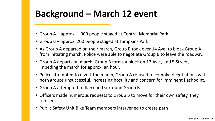## **Background – March 12 event**

- Group A approx. 1,000 people staged at Central Memorial Park
- Group B approx. 200 people staged at Tompkins Park
- As Group A departed on their march, Group B took over 14 Ave, to block Group A from initiating march. Police were able to negotiate Group B to leave the roadway.
- Group A departs on march, Group B forms a block on 17 Ave., and 5 Street, impeding the march for approx. an hour.
- Police attempted to divert the march, Group A refused to comply. Negotiations with both groups unsuccessful, increasing hostility and concern for imminent flashpoint.
- Group A attempted to flank and surround Group B
- Officers made numerous requests to Group B to move for their own safety, they refused.
- Public Safety Unit Bike Team members intervened to create path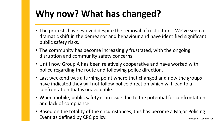## **Why now? What has changed?**

- The protests have evolved despite the removal of restrictions. We've seen a dramatic shift in the demeanor and behaviour and have identified significant public safety risks.
- The community has become increasingly frustrated, with the ongoing disruption and community safety concerns.
- Until now Group A has been relatively cooperative and have worked with police regarding the route and following police direction.
- Last weekend was a turning point where that changed and now the groups have indicated they will not follow police direction which will lead to a confrontation that is unavoidable.
- When mobile, public safety is an issue due to the potential for confrontations and lack of compliance.
- Privileged & Confidential • Based on the totality of the circumstances, this has become a Major Policing Event as defined by CPC policy.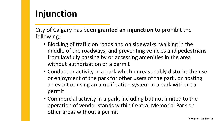#### **Injunction**

City of Calgary has been **granted an injunction** to prohibit the following:

- Blocking of traffic on roads and on sidewalks, walking in the middle of the roadways, and preventing vehicles and pedestrians from lawfully passing by or accessing amenities in the area without authorization or a permit
- Conduct or activity in a park which unreasonably disturbs the use or enjoyment of the park for other users of the park, or hosting an event or using an amplification system in a park without a permit
- Commercial activity in a park, including but not limited to the operation of vendor stands within Central Memorial Park or other areas without a permit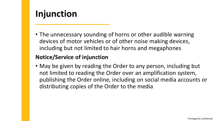#### **Injunction**

• The unnecessary sounding of horns or other audible warning devices of motor vehicles or of other noise making devices, including but not limited to hair horns and megaphones

#### **Notice/Service of injunction**

• May be given by reading the Order to any person, including but not limited to reading the Order over an amplification system, publishing the Order online, including on social media accounts or distributing copies of the Order to the media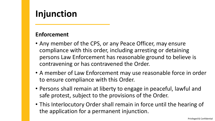#### **Injunction**

#### **Enforcement**

- Any member of the CPS, or any Peace Officer, may ensure compliance with this order, including arresting or detaining persons Law Enforcement has reasonable ground to believe is contravening or has contravened the Order.
- A member of Law Enforcement may use reasonable force in order to ensure compliance with this Order.
- Persons shall remain at liberty to engage in peaceful, lawful and safe protest, subject to the provisions of the Order.
- This Interlocutory Order shall remain in force until the hearing of the application for a permanent injunction.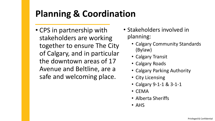## **Planning & Coordination**

- CPS in partnership with stakeholders are working together to ensure The City of Calgary, and in particular the downtown areas of 17 Avenue and Beltline, are a safe and welcoming place.
- Stakeholders involved in planning:
	- Calgary Community Standards (Bylaw)
	- Calgary Transit
	- Calgary Roads
	- Calgary Parking Authority
	- City Licensing
	- Calgary 9-1-1 & 3-1-1
	- CEMA
	- Alberta Sheriffs
	- AHS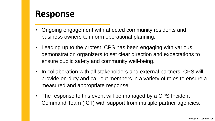#### **Response**

- Ongoing engagement with affected community residents and business owners to inform operational planning.
- Leading up to the protest, CPS has been engaging with various demonstration organizers to set clear direction and expectations to ensure public safety and community well-being.
- In collaboration with all stakeholders and external partners, CPS will provide on-duty and call-out members in a variety of roles to ensure a measured and appropriate response.
- The response to this event will be managed by a CPS Incident Command Team (ICT) with support from multiple partner agencies.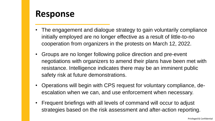#### **Response**

- The engagement and dialogue strategy to gain voluntarily compliance initially employed are no longer effective as a result of little-to-no cooperation from organizers in the protests on March 12, 2022.
- Groups are no longer following police direction and pre-event negotiations with organizers to amend their plans have been met with resistance. Intelligence indicates there may be an imminent public safety risk at future demonstrations.
- Operations will begin with CPS request for voluntary compliance, deescalation when we can, and use enforcement when necessary.
- Frequent briefings with all levels of command will occur to adjust strategies based on the risk assessment and after-action reporting.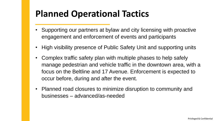## **Planned Operational Tactics**

- Supporting our partners at bylaw and city licensing with proactive engagement and enforcement of events and participants
- High visibility presence of Public Safety Unit and supporting units
- Complex traffic safety plan with multiple phases to help safely manage pedestrian and vehicle traffic in the downtown area, with a focus on the Beltline and 17 Avenue. Enforcement is expected to occur before, during and after the event.
- Planned road closures to minimize disruption to community and businesses – advanced/as-needed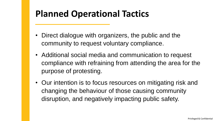## **Planned Operational Tactics**

- Direct dialogue with organizers, the public and the community to request voluntary compliance.
- Additional social media and communication to request compliance with refraining from attending the area for the purpose of protesting.
- Our intention is to focus resources on mitigating risk and changing the behaviour of those causing community disruption, and negatively impacting public safety.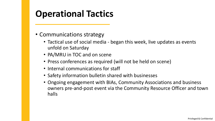## **Operational Tactics**

- Communications strategy
	- Tactical use of social media began this week, live updates as events unfold on Saturday
	- PA/MRU in TOC and on scene
	- Press conferences as required (will not be held on scene)
	- Internal communications for staff
	- Safety information bulletin shared with businesses
	- Ongoing engagement with BIAs, Community Associations and business owners pre-and-post event via the Community Resource Officer and town halls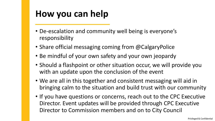#### **How you can help**

- De-escalation and community well being is everyone's responsibility
- Share official messaging coming from @CalgaryPolice
- Be mindful of your own safety and your own jeopardy
- Should a flashpoint or other situation occur, we will provide you with an update upon the conclusion of the event
- We are all in this together and consistent messaging will aid in bringing calm to the situation and build trust with our community
- If you have questions or concerns, reach out to the CPC Executive Director. Event updates will be provided through CPC Executive Director to Commission members and on to City Council